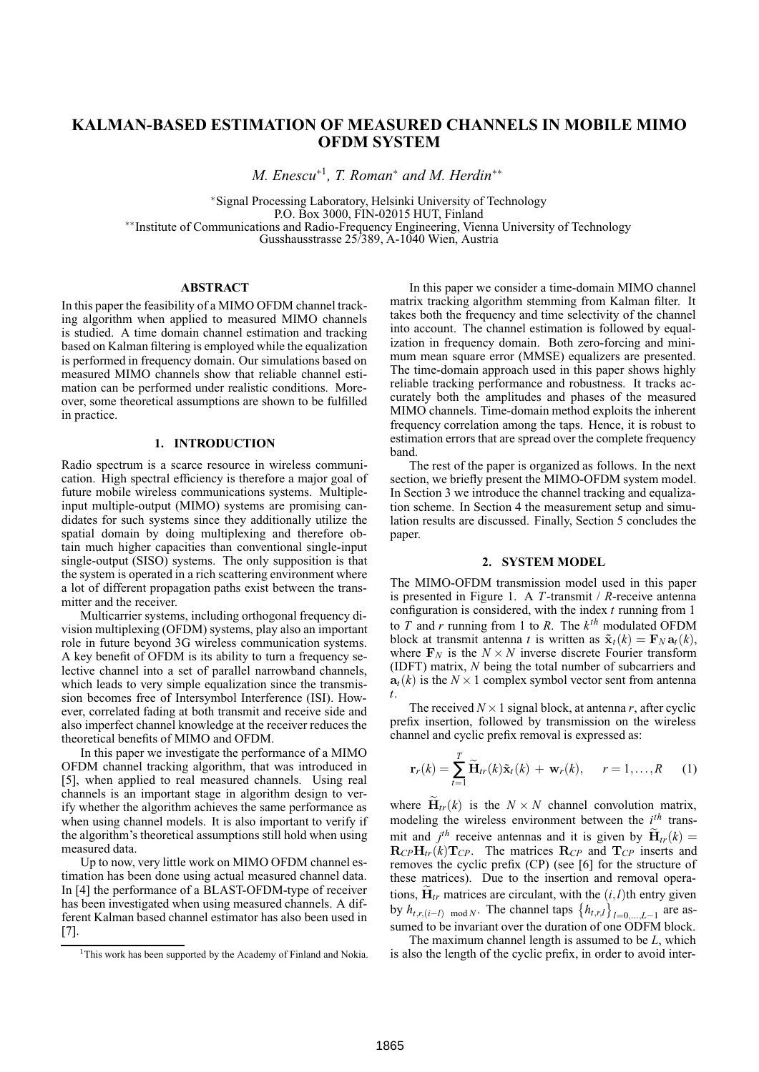# **KALMAN-BASED ESTIMATION OF MEASURED CHANNELS IN MOBILE MIMO OFDM SYSTEM**

*M. Enescu*<sup>∗</sup><sup>1</sup>*, T. Roman*<sup>∗</sup> *and M. Herdin*∗∗

<sup>∗</sup>Signal Processing Laboratory, Helsinki University of Technology \*\*Institute of Communications and Radio-Frequency Engineering, Vienna University of Technology Gusshausstrasse 25/389, A-1040 Wien, Austria

## **ABSTRACT**

In this paper the feasibility of a MIMO OFDM channel tracking algorithm when applied to measured MIMO channels is studied. A time domain channel estimation and tracking based on Kalman filtering is employed while the equalization is performed in frequency domain. Our simulations based on measured MIMO channels show that reliable channel estimation can be performed under realistic conditions. Moreover, some theoretical assumptions are shown to be fulfilled in practice.

#### **1. INTRODUCTION**

Radio spectrum is a scarce resource in wireless communication. High spectral efficiency is therefore a major goal of future mobile wireless communications systems. Multipleinput multiple-output (MIMO) systems are promising candidates for such systems since they additionally utilize the spatial domain by doing multiplexing and therefore obtain much higher capacities than conventional single-input single-output (SISO) systems. The only supposition is that the system is operated in a rich scattering environment where a lot of different propagation paths exist between the transmitter and the receiver.

Multicarrier systems, including orthogonal frequency division multiplexing (OFDM) systems, play also an important role in future beyond 3G wireless communication systems. A key benefit of OFDM is its ability to turn a frequency selective channel into a set of parallel narrowband channels, which leads to very simple equalization since the transmission becomes free of Intersymbol Interference (ISI). However, correlated fading at both transmit and receive side and also imperfect channel knowledge at the receiver reduces the theoretical benefits of MIMO and OFDM.

In this paper we investigate the performance of a MIMO OFDM channel tracking algorithm, that was introduced in [5], when applied to real measured channels. Using real channels is an important stage in algorithm design to verify whether the algorithm achieves the same performance as when using channel models. It is also important to verify if the algorithm's theoretical assumptions still hold when using measured data.

Up to now, very little work on MIMO OFDM channel estimation has been done using actual measured channel data. In [4] the performance of a BLAST-OFDM-type of receiver has been investigated when using measured channels. A different Kalman based channel estimator has also been used in [7].

In this paper we consider a time-domain MIMO channel matrix tracking algorithm stemming from Kalman filter. It takes both the frequency and time selectivity of the channel into account. The channel estimation is followed by equalization in frequency domain. Both zero-forcing and minimum mean square error (MMSE) equalizers are presented. The time-domain approach used in this paper shows highly reliable tracking performance and robustness. It tracks accurately both the amplitudes and phases of the measured MIMO channels. Time-domain method exploits the inherent frequency correlation among the taps. Hence, it is robust to estimation errors that are spread over the complete frequency band.

The rest of the paper is organized as follows. In the next section, we briefly present the MIMO-OFDM system model. In Section 3 we introduce the channel tracking and equalization scheme. In Section 4 the measurement setup and simulation results are discussed. Finally, Section 5 concludes the paper.

#### **2. SYSTEM MODEL**

The MIMO-OFDM transmission model used in this paper is presented in Figure 1. A *T*-transmit / *R*-receive antenna configuration is considered, with the index *t* running from 1 to *T* and *r* running from 1 to *R*. The *kth* modulated OFDM block at transmit antenna *t* is written as  $\tilde{\mathbf{x}}_t(k) = \mathbf{F}_N \mathbf{a}_t(k)$ , where  $\mathbf{F}_N$  is the  $N \times N$  inverse discrete Fourier transform (IDFT) matrix, *N* being the total number of subcarriers and  $a_t(k)$  is the *N* × 1 complex symbol vector sent from antenna *t*.

The received  $N \times 1$  signal block, at antenna *r*, after cyclic prefix insertion, followed by transmission on the wireless channel and cyclic prefix removal is expressed as:

$$
\mathbf{r}_r(k) = \sum_{t=1}^T \widetilde{\mathbf{H}}_{tr}(k)\widetilde{\mathbf{x}}_t(k) + \mathbf{w}_r(k), \quad r = 1, \dots, R \quad (1)
$$

where  $\tilde{H}_{tr}(k)$  is the  $N \times N$  channel convolution matrix, modeling the wireless environment between the  $i<sup>th</sup>$  transmit and  $j^{th}$  receive antennas and it is given by  $\widetilde{\mathbf{H}}_{tr}(k) =$  $\mathbf{R}_{CP}\mathbf{H}_{tr}(k)\mathbf{T}_{CP}$ . The matrices  $\mathbf{R}_{CP}$  and  $\mathbf{T}_{CP}$  inserts and removes the cyclic prefix (CP) (see [6] for the structure of these matrices). Due to the insertion and removal operations,  $H_{tr}$  matrices are circulant, with the  $(i, l)$ th entry given by  $h_{t,r,(i-l)}$  mod *N*. The channel taps  $\{h_{t,r,l}\}_{l=0,\dots,L-1}$  are assumed to be invariant over the duration of one ODFM block.

The maximum channel length is assumed to be *L*, which is also the length of the cyclic prefix, in order to avoid inter-

<sup>&</sup>lt;sup>1</sup>This work has been supported by the Academy of Finland and Nokia.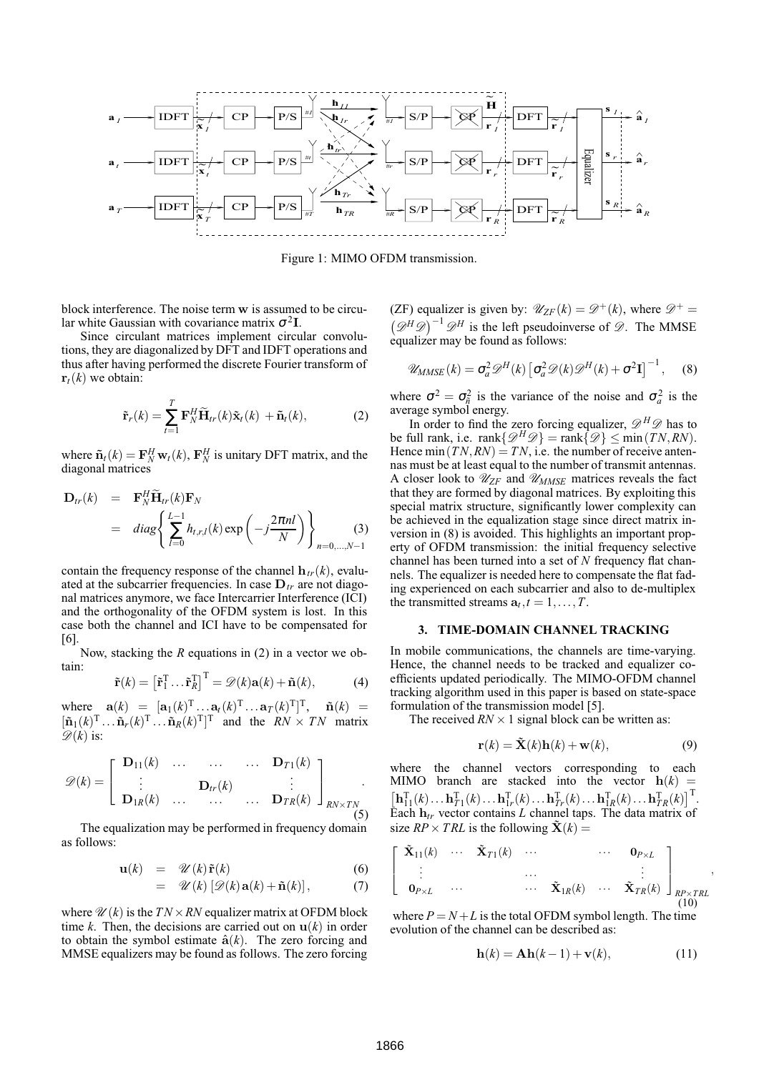

Figure 1: MIMO OFDM transmission.

block interference. The noise term **w** is assumed to be circular white Gaussian with covariance matrix  $\sigma^2 I$ .

Since circulant matrices implement circular convolutions, they are diagonalized by DFT and IDFT operations and thus after having performed the discrete Fourier transform of  $\mathbf{r}_t(k)$  we obtain:

$$
\tilde{\mathbf{r}}_r(k) = \sum_{t=1}^T \mathbf{F}_N^H \widetilde{\mathbf{H}}_{tr}(k) \tilde{\mathbf{x}}_t(k) + \tilde{\mathbf{n}}_t(k),
$$
 (2)

where  $\tilde{\mathbf{n}}_t(k) = \mathbf{F}_N^H \mathbf{w}_t(k)$ ,  $\mathbf{F}_N^H$  is unitary DFT matrix, and the diagonal matrices

$$
\mathbf{D}_{tr}(k) = \mathbf{F}_{N}^{H} \widetilde{\mathbf{H}}_{tr}(k) \mathbf{F}_{N}
$$
  
= 
$$
diag\left\{\sum_{l=0}^{L-1} h_{t,r,l}(k) \exp\left(-j\frac{2\pi nl}{N}\right)\right\}_{n=0,\ldots,N-1}
$$
 (3)

contain the frequency response of the channel  $\mathbf{h}_{tr}(k)$ , evaluated at the subcarrier frequencies. In case  $D_{tr}$  are not diagonal matrices anymore, we face Intercarrier Interference (ICI) and the orthogonality of the OFDM system is lost. In this case both the channel and ICI have to be compensated for [6].

Now, stacking the *R* equations in (2) in a vector we obtain:

$$
\tilde{\mathbf{r}}(k) = \left[\tilde{\mathbf{r}}_1^{\mathrm{T}} \dots \tilde{\mathbf{r}}_R^{\mathrm{T}}\right]^{\mathrm{T}} = \mathscr{D}(k)\mathbf{a}(k) + \tilde{\mathbf{n}}(k),\tag{4}
$$

where  $\mathbf{a}(k) = [\mathbf{a}_1(k)^T ... \mathbf{a}_t(k)^T ... \mathbf{a}_T(k)^T]^T$ ,  $\tilde{\mathbf{n}}(k) =$  $[\tilde{\mathbf{n}}_1(k)^T \dots \tilde{\mathbf{n}}_r(k)^T \dots \tilde{\mathbf{n}}_R(k)^T]^T$  and the  $RN \times TN$  matrix  $\mathscr{D}(k)$  is:

$$
\mathscr{D}(k) = \left[ \begin{array}{cccc} \mathbf{D}_{11}(k) & \dots & \dots & \dots & \mathbf{D}_{T1}(k) \\ \vdots & & \mathbf{D}_{tr}(k) & \vdots \\ \mathbf{D}_{1R}(k) & \dots & \dots & \mathbf{D}_{TR}(k) \end{array} \right]_{RN \times TN}
$$
\n(5)

The equalization may be performed in frequency domain as follows:

$$
\mathbf{u}(k) = \mathscr{U}(k)\tilde{\mathbf{r}}(k) \tag{6}
$$

$$
= \mathscr{U}(k) \left[ \mathscr{D}(k) \mathbf{a}(k) + \tilde{\mathbf{n}}(k) \right], \tag{7}
$$

where  $\mathcal{U}(k)$  is the  $TN \times RN$  equalizer matrix at OFDM block time *k*. Then, the decisions are carried out on  $u(k)$  in order to obtain the symbol estimate  $\hat{a}(k)$ . The zero forcing and MMSE equalizers may be found as follows. The zero forcing

(ZF) equalizer is given by:  $\mathcal{U}_{ZF}(k) = \mathcal{D}^+(k)$ , where  $\mathcal{D}^+ =$  $\left(\mathscr{D}^H\mathscr{D}\right)^{-1}\mathscr{D}^H$  is the left pseudoinverse of  $\mathscr{D}$ . The MMSE equalizer may be found as follows:

$$
\mathscr{U}_{MMSE}(k) = \sigma_a^2 \mathscr{D}^H(k) \left[ \sigma_a^2 \mathscr{D}(k) \mathscr{D}^H(k) + \sigma^2 \mathbf{I} \right]^{-1}, \quad (8)
$$

where  $\sigma^2 = \sigma_{\tilde{n}}^2$  is the variance of the noise and  $\sigma_a^2$  is the average symbol energy.

In order to find the zero forcing equalizer,  $\mathscr{D}^H \mathscr{D}$  has to be full rank, i.e. rank $\{\mathscr{D}^H\mathscr{D}\}$  = rank $\{\mathscr{D}\}\leq \min(TN, RN)$ . Hence min $(TN, RN) = TN$ , i.e. the number of receive antennas must be at least equal to the number of transmit antennas. A closer look to  $\mathcal{U}_{ZF}$  and  $\mathcal{U}_{MMSE}$  matrices reveals the fact that they are formed by diagonal matrices. By exploiting this special matrix structure, significantly lower complexity can be achieved in the equalization stage since direct matrix inversion in (8) is avoided. This highlights an important property of OFDM transmission: the initial frequency selective channel has been turned into a set of *N* frequency flat channels. The equalizer is needed here to compensate the flat fading experienced on each subcarrier and also to de-multiplex the transmitted streams  $a_t$ ,  $t = 1, \ldots, T$ .

## **3. TIME-DOMAIN CHANNEL TRACKING**

In mobile communications, the channels are time-varying. Hence, the channel needs to be tracked and equalizer coefficients updated periodically. The MIMO-OFDM channel tracking algorithm used in this paper is based on state-space formulation of the transmission model [5].

The received  $RN \times 1$  signal block can be written as:

$$
\mathbf{r}(k) = \tilde{\mathbf{X}}(k)\mathbf{h}(k) + \mathbf{w}(k),\tag{9}
$$

where the channel vectors corresponding to each MIMO branch are stacked into the vector  $h(k)$  =  $\left[\mathbf{h}_{11}^{\mathrm{T}}(k) \ldots \mathbf{h}_{T1}^{\mathrm{T}}(k) \ldots \mathbf{h}_{1r}^{\mathrm{T}}(k) \ldots \mathbf{h}_{Tr}^{\mathrm{T}}(k) \ldots \mathbf{h}_{1R}^{\mathrm{T}}(k) \ldots \mathbf{h}_{TR}^{\mathrm{T}}(k)\right]^{\mathrm{T}}$ . Each **h***tr* vector contains *L* channel taps. The data matrix of size  $RP \times TRL$  is the following  $\tilde{\mathbf{X}}(k) =$ 

$$
\left[\begin{array}{cccc} \tilde{\mathbf{X}}_{11}(k) & \cdots & \tilde{\mathbf{X}}_{T1}(k) & \cdots & & \cdots & \mathbf{0}_{P\times L} \\ \vdots & & \cdots & & \ddots & \vdots \\ \mathbf{0}_{P\times L} & \cdots & & \cdots & \tilde{\mathbf{X}}_{1R}(k) & \cdots & \tilde{\mathbf{X}}_{TR}(k) \end{array}\right]_{RP\times TRI} ,
$$
\n(10)

where  $P = N + L$  is the total OFDM symbol length. The time evolution of the channel can be described as:

$$
\mathbf{h}(k) = \mathbf{A}\mathbf{h}(k-1) + \mathbf{v}(k),\tag{11}
$$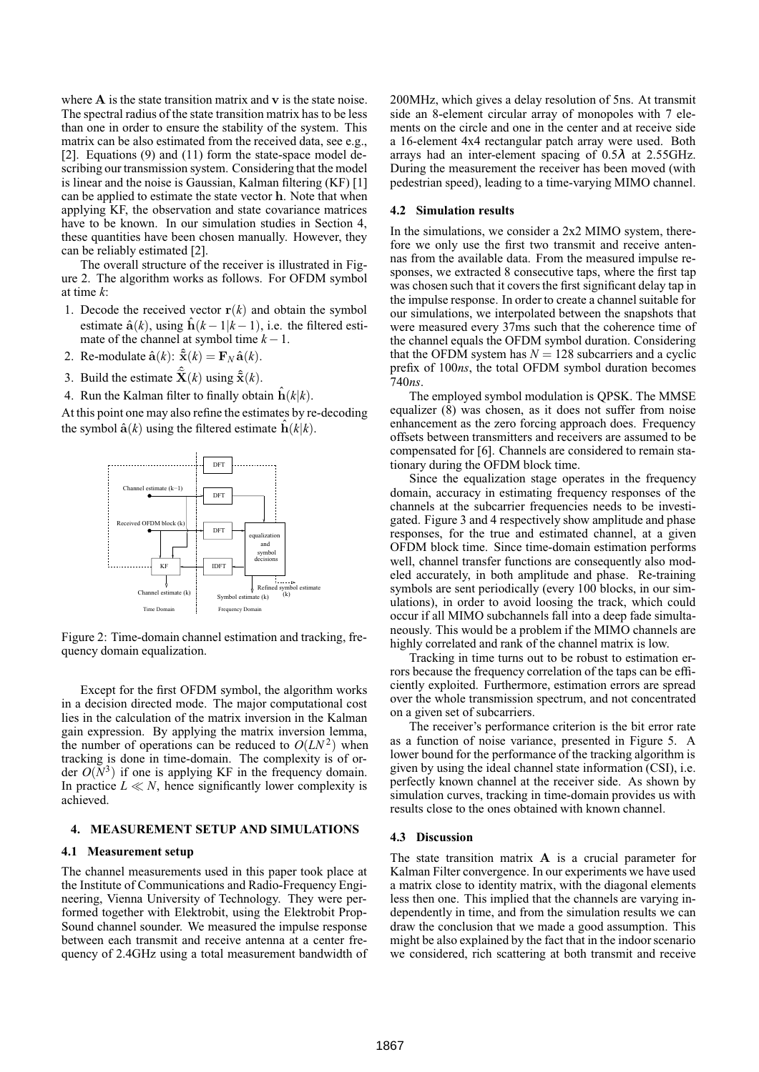where **A** is the state transition matrix and **v** is the state noise. The spectral radius of the state transition matrix has to be less than one in order to ensure the stability of the system. This matrix can be also estimated from the received data, see e.g., [2]. Equations (9) and (11) form the state-space model describing our transmission system. Considering that the model is linear and the noise is Gaussian, Kalman filtering (KF) [1] can be applied to estimate the state vector **h**. Note that when applying KF, the observation and state covariance matrices have to be known. In our simulation studies in Section 4, these quantities have been chosen manually. However, they can be reliably estimated [2].

The overall structure of the receiver is illustrated in Figure 2. The algorithm works as follows. For OFDM symbol at time *k*:

- 1. Decode the received vector  $r(k)$  and obtain the symbol estimate  $\hat{\mathbf{a}}(k)$ , using  $\hat{\mathbf{h}}(k-1|k-1)$ , i.e. the filtered estimate of the channel at symbol time  $k - 1$ .
- 2. Re-modulate  $\hat{\mathbf{a}}(k)$ :  $\hat{\mathbf{x}}(k) = \mathbf{F}_N \hat{\mathbf{a}}(k)$ .
- 3. Build the estimate  $\hat{\tilde{\mathbf{X}}}(k)$  using  $\hat{\tilde{\mathbf{x}}}(k)$ .
- 4. Run the Kalman filter to finally obtain  $\hat{\mathbf{h}}(k|k)$ .

At this point one may also refine the estimates by re-decoding the symbol  $\hat{a}(k)$  using the filtered estimate  $h(k|k)$ .



Figure 2: Time-domain channel estimation and tracking, frequency domain equalization.

Except for the first OFDM symbol, the algorithm works in a decision directed mode. The major computational cost lies in the calculation of the matrix inversion in the Kalman gain expression. By applying the matrix inversion lemma, the number of operations can be reduced to  $O(LN^2)$  when tracking is done in time-domain. The complexity is of order  $O(N^3)$  if one is applying KF in the frequency domain. In practice  $L \ll N$ , hence significantly lower complexity is achieved.

## **4. MEASUREMENT SETUP AND SIMULATIONS**

#### **4.1 Measurement setup**

The channel measurements used in this paper took place at the Institute of Communications and Radio-Frequency Engineering, Vienna University of Technology. They were performed together with Elektrobit, using the Elektrobit Prop-Sound channel sounder. We measured the impulse response between each transmit and receive antenna at a center frequency of 2.4GHz using a total measurement bandwidth of 200MHz, which gives a delay resolution of 5ns. At transmit side an 8-element circular array of monopoles with 7 elements on the circle and one in the center and at receive side a 16-element 4x4 rectangular patch array were used. Both arrays had an inter-element spacing of 0.5λ at 2.55GHz. During the measurement the receiver has been moved (with pedestrian speed), leading to a time-varying MIMO channel.

## **4.2 Simulation results**

In the simulations, we consider a 2x2 MIMO system, therefore we only use the first two transmit and receive antennas from the available data. From the measured impulse responses, we extracted 8 consecutive taps, where the first tap was chosen such that it covers the first significant delay tap in the impulse response. In order to create a channel suitable for our simulations, we interpolated between the snapshots that were measured every 37ms such that the coherence time of the channel equals the OFDM symbol duration. Considering that the OFDM system has  $N = 128$  subcarriers and a cyclic prefix of 100*ns*, the total OFDM symbol duration becomes 740*ns*.

The employed symbol modulation is QPSK. The MMSE equalizer (8) was chosen, as it does not suffer from noise enhancement as the zero forcing approach does. Frequency offsets between transmitters and receivers are assumed to be compensated for [6]. Channels are considered to remain stationary during the OFDM block time.

Since the equalization stage operates in the frequency domain, accuracy in estimating frequency responses of the channels at the subcarrier frequencies needs to be investigated. Figure 3 and 4 respectively show amplitude and phase responses, for the true and estimated channel, at a given OFDM block time. Since time-domain estimation performs well, channel transfer functions are consequently also modeled accurately, in both amplitude and phase. Re-training symbols are sent periodically (every 100 blocks, in our simulations), in order to avoid loosing the track, which could occur if all MIMO subchannels fall into a deep fade simultaneously. This would be a problem if the MIMO channels are highly correlated and rank of the channel matrix is low.

Tracking in time turns out to be robust to estimation errors because the frequency correlation of the taps can be efficiently exploited. Furthermore, estimation errors are spread over the whole transmission spectrum, and not concentrated on a given set of subcarriers.

The receiver's performance criterion is the bit error rate as a function of noise variance, presented in Figure 5. A lower bound for the performance of the tracking algorithm is given by using the ideal channel state information (CSI), i.e. perfectly known channel at the receiver side. As shown by simulation curves, tracking in time-domain provides us with results close to the ones obtained with known channel.

#### **4.3 Discussion**

The state transition matrix **A** is a crucial parameter for Kalman Filter convergence. In our experiments we have used a matrix close to identity matrix, with the diagonal elements less then one. This implied that the channels are varying independently in time, and from the simulation results we can draw the conclusion that we made a good assumption. This might be also explained by the fact that in the indoor scenario we considered, rich scattering at both transmit and receive